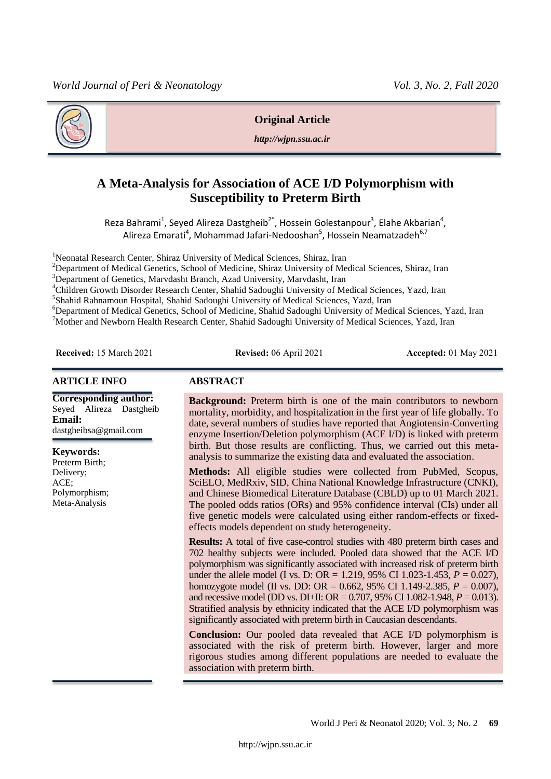

### **Original Article**

*http://wjpn.ssu.ac.ir*

# **A Meta-Analysis for Association of ACE I/D Polymorphism with Susceptibility to Preterm Birth**

Reza Bahrami<sup>1</sup>, Seyed Alireza Dastgheib<sup>2\*</sup>, Hossein Golestanpour<sup>3</sup>, Elahe Akbarian<sup>4</sup>, Alireza Emarati<sup>4</sup>, Mohammad Jafari-Nedooshan<sup>5</sup>, Hossein Neamatzadeh<sup>6,7</sup>

<sup>1</sup>Neonatal Research Center, Shiraz University of Medical Sciences, Shiraz, Iran

<sup>2</sup>Department of Medical Genetics, School of Medicine, Shiraz University of Medical Sciences, Shiraz, Iran

<sup>3</sup>Department of Genetics, Marvdasht Branch, Azad University, Marvdasht, Iran

<sup>4</sup>Children Growth Disorder Research Center, Shahid Sadoughi University of Medical Sciences, Yazd, Iran

5 Shahid Rahnamoun Hospital, Shahid Sadoughi University of Medical Sciences, Yazd, Iran

<sup>6</sup>Department of Medical Genetics, School of Medicine, Shahid Sadoughi University of Medical Sciences, Yazd, Iran <sup>7</sup>Mother and Newborn Health Research Center, Shahid Sadoughi University of Medical Sciences, Yazd, Iran

**Received:** 15 March 2021 **Revised:** 06 April 2021 **Accepted:** 01 May 2021

#### **ARTICLE INFO ABSTRACT**

**Corresponding author:** Seyed Alireza Dastgheib **Email:**  dastgheibsa@gmail.com

**Keywords:** 

Preterm Birth; Delivery; ACE; Polymorphism; Meta-Analysis

**Background:** Preterm birth is one of the main contributors to newborn mortality, morbidity, and hospitalization in the first year of life globally. To date, several numbers of studies have reported that Angiotensin-Converting enzyme Insertion/Deletion polymorphism (ACE I/D) is linked with preterm birth. But those results are conflicting. Thus, we carried out this metaanalysis to summarize the existing data and evaluated the association.

**Methods:** All eligible studies were collected from PubMed, Scopus, SciELO, MedRxiv, SID, China National Knowledge Infrastructure (CNKI), and Chinese Biomedical Literature Database (CBLD) up to 01 March 2021. The pooled odds ratios (ORs) and 95% confidence interval (CIs) under all five genetic models were calculated using either random-effects or fixedeffects models dependent on study heterogeneity.

**Results:** A total of five case-control studies with 480 preterm birth cases and 702 healthy subjects were included. Pooled data showed that the ACE I/D polymorphism was significantly associated with increased risk of preterm birth under the allele model (I vs. D: OR = 1.219, 95% CI 1.023-1.453,  $P = 0.027$ ), homozygote model (II vs. DD: OR =  $0.662$ , 95% CI 1.149-2.385,  $P = 0.007$ ), and recessive model (DD vs. DI+II: OR = 0.707, 95% CI 1.082-1.948, *P* = 0.013). Stratified analysis by ethnicity indicated that the ACE I/D polymorphism was significantly associated with preterm birth in Caucasian descendants.

**Conclusion:** Our pooled data revealed that ACE I/D polymorphism is associated with the risk of preterm birth. However, larger and more rigorous studies among different populations are needed to evaluate the association with preterm birth.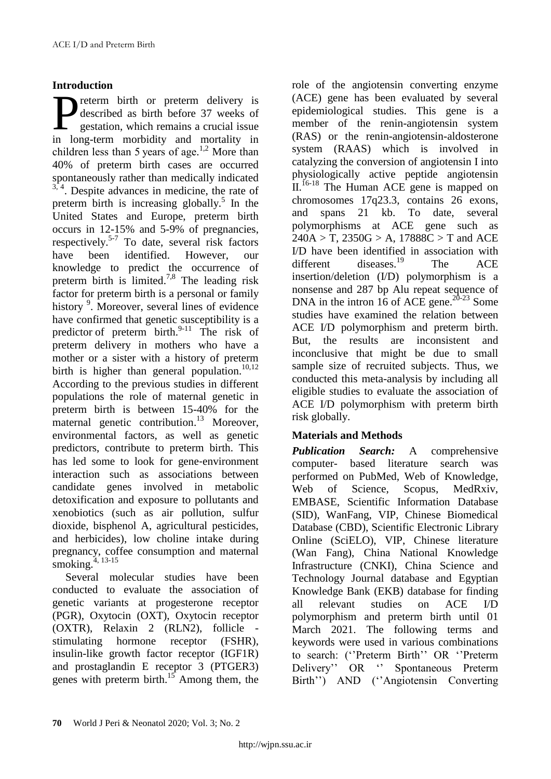# **Introduction**

reterm birth or preterm delivery is described as birth before 37 weeks of gestation, which remains a crucial issue **Example 18 Exercise** during the original delivery is described as birth before 37 weeks of gestation, which remains a crucial issue in long-term morbidity and mortality in children less than 5 years of age. $1,2$  More than 40% of preterm birth cases are occurred spontaneously rather than medically indicated  $3, 4$ . Despite advances in medicine, the rate of preterm birth is increasing globally. 5 In the United States and Europe, preterm birth occurs in 12-15% and 5-9% of pregnancies, respectively.<sup>5-7</sup> To date, several risk factors have been identified. However, our knowledge to predict the occurrence of preterm birth is limited.<sup>7,8</sup> The leading risk factor for preterm birth is a personal or family history<sup>9</sup>. Moreover, several lines of evidence have confirmed that genetic susceptibility is a predictor of preterm birth.<sup>9-11</sup> The risk of preterm delivery in mothers who have a mother or a sister with a history of preterm birth is higher than general population.<sup>10,12</sup> According to the previous studies in different populations the role of maternal genetic in preterm birth is between 15-40% for the maternal genetic contribution.<sup>13</sup> Moreover, environmental factors, as well as genetic predictors, contribute to preterm birth. This has led some to look for gene-environment interaction such as associations between candidate genes involved in metabolic detoxification and exposure to pollutants and xenobiotics (such as air pollution, sulfur dioxide, bisphenol A, agricultural pesticides, and herbicides), low choline intake during pregnancy, coffee consumption and maternal smoking.<sup>4, 13-15</sup>

Several molecular studies have been conducted to evaluate the association of genetic variants at progesterone receptor (PGR), Oxytocin (OXT), Oxytocin receptor (OXTR), Relaxin 2 (RLN2), follicle stimulating hormone receptor (FSHR), insulin-like growth factor receptor (IGF1R) and prostaglandin E receptor 3 (PTGER3) genes with preterm birth.<sup>15</sup> Among them, the role of the angiotensin converting enzyme (ACE) gene has been evaluated by several epidemiological studies. This gene is a member of the renin-angiotensin system (RAS) or the renin-angiotensin-aldosterone system (RAAS) which is involved in catalyzing the conversion of angiotensin I into physiologically active peptide angiotensin II.<sup>16-18</sup> The Human ACE gene is mapped on chromosomes 17q23.3, contains 26 exons, and spans 21 kb. To date, several polymorphisms at ACE gene such as  $240A > T$ ,  $2350G > A$ ,  $17888C > T$  and ACE I/D have been identified in association with<br>different diseases.<sup>19</sup> The ACE different The ACE insertion/deletion (I/D) polymorphism is a nonsense and 287 bp Alu repeat sequence of DNA in the intron 16 of ACE gene.<sup>20-23</sup> Some studies have examined the relation between ACE I/D polymorphism and preterm birth. But, the results are inconsistent and inconclusive that might be due to small sample size of recruited subjects. Thus, we conducted this meta-analysis by including all eligible studies to evaluate the association of ACE I/D polymorphism with preterm birth risk globally.

## **Materials and Methods**

*Publication Search:* A comprehensive computer- based literature search was performed on PubMed, Web of Knowledge, Web of Science, Scopus, MedRxiv, EMBASE, Scientific Information Database (SID), WanFang, VIP, Chinese Biomedical Database (CBD), [Scientific Electronic Library](https://scielosp.org/)  [Online](https://scielosp.org/) (SciELO), VIP, Chinese literature (Wan Fang), China National Knowledge Infrastructure (CNKI), China Science and Technology Journal database and Egyptian Knowledge Bank (EKB) database for finding all relevant studies on ACE I/D polymorphism and preterm birth until 01 March 2021. The following terms and keywords were used in various combinations to search: (''Preterm Birth'' OR ''Preterm Delivery'' OR '' Spontaneous Preterm Birth'') AND (''Angiotensin Converting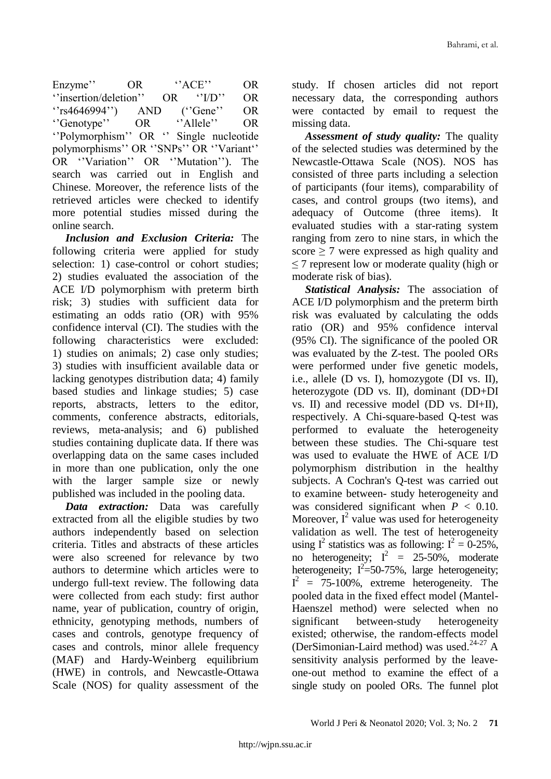Enzyme'' OR ''ACE'' OR<br>
''insertion/deletion'' OR ''I/D'' OR ''insertion/deletion'' OR ''rs4646994'') AND (''Gene'' OR ''Genotype'' OR ''Allele'' OR ''Polymorphism'' OR '' Single nucleotide polymorphisms'' OR ''SNPs'' OR ''Variant'' OR ''Variation'' OR ''Mutation''). The search was carried out in English and Chinese. Moreover, the reference lists of the retrieved articles were checked to identify more potential studies missed during the online search.

*Inclusion and Exclusion Criteria:* The following criteria were applied for study selection: 1) case-control or cohort studies; 2) studies evaluated the association of the ACE I/D polymorphism with preterm birth risk; 3) studies with sufficient data for estimating an odds ratio (OR) with 95% confidence interval (CI). The studies with the following characteristics were excluded: 1) studies on animals; 2) case only studies; 3) studies with insufficient available data or lacking genotypes distribution data; 4) family based studies and linkage studies; 5) case reports, abstracts, letters to the editor, comments, conference abstracts, editorials, reviews, meta-analysis; and 6) published studies containing duplicate data. If there was overlapping data on the same cases included in more than one publication, only the one with the larger sample size or newly published was included in the pooling data.

*Data extraction:* Data was carefully extracted from all the eligible studies by two authors independently based on selection criteria. Titles and abstracts of these articles were also screened for relevance by two authors to determine which articles were to undergo full-text review. The following data were collected from each study: first author name, year of publication, country of origin, ethnicity, genotyping methods, numbers of cases and controls, genotype frequency of cases and controls, minor allele frequency (MAF) and Hardy-Weinberg equilibrium (HWE) in controls, and Newcastle-Ottawa Scale (NOS) for quality assessment of the

study. If chosen articles did not report necessary data, the corresponding authors were contacted by email to request the missing data.

*Assessment of study quality:* The quality of the selected studies was determined by the Newcastle-Ottawa Scale (NOS). NOS has consisted of three parts including a selection of participants (four items), comparability of cases, and control groups (two items), and adequacy of Outcome (three items). It evaluated studies with a star-rating system ranging from zero to nine stars, in which the score  $\geq$  7 were expressed as high quality and  $\leq$  7 represent low or moderate quality (high or moderate risk of bias).

*Statistical Analysis:* The association of ACE I/D polymorphism and the preterm birth risk was evaluated by calculating the odds ratio (OR) and 95% confidence interval (95% CI). The significance of the pooled OR was evaluated by the Z-test. The pooled ORs were performed under five genetic models, i.e., allele (D vs. I), homozygote (DI vs. II), heterozygote (DD vs. II), dominant (DD+DI vs. II) and recessive model (DD vs. DI+II), respectively. A Chi-square-based Q-test was performed to evaluate the heterogeneity between these studies. The Chi-square test was used to evaluate the HWE of ACE I/D polymorphism distribution in the healthy subjects. A Cochran's Q-test was carried out to examine between- study heterogeneity and was considered significant when  $P < 0.10$ . Moreover,  $I^2$  value was used for heterogeneity validation as well. The test of heterogeneity using  $I^2$  statistics was as following:  $I^2 = 0.25\%$ , no heterogeneity;  $I^2 = 25-50\%$ , moderate heterogeneity;  $I^2 = 50-75\%$  $I^2 = 50-75\%$  $I^2 = 50-75\%$ , large heterogeneity;  $I^2$  = 75-100%, extreme heterogeneity. The pooled data in the fixed effect model (Mantel-Haenszel method) were selected when no significant between-study heterogeneity existed; otherwise, the random-effects model (DerSimonian-Laird method) was used. 24-27 A sensitivity analysis performed by the leaveone‐out method to examine the effect of a single study on pooled ORs. The funnel plot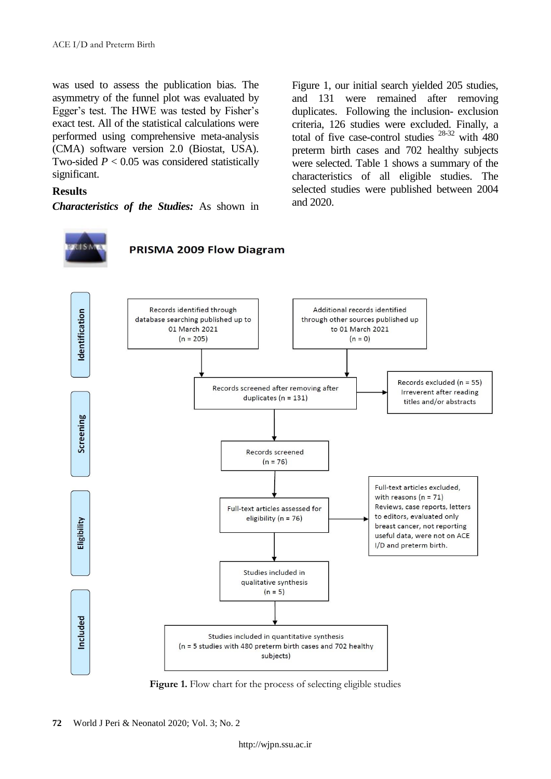was used to assess the publication bias. The asymmetry of the funnel plot was evaluated by Egger's test. The HWE was tested by Fisher's exact test. All of the statistical calculations were performed using comprehensive meta-analysis (CMA) software version 2.0 (Biostat, USA). Two-sided  $P < 0.05$  was considered statistically significant.

### **Results**

*Characteristics of the Studies:* As shown in

[Figure 1,](javascript:void(0)) our initial search yielded 205 studies, and 131 were remained after removing duplicates. Following the inclusion- exclusion criteria, 126 studies were excluded. Finally, a total of five case-control studies  $28-32$  with 480 preterm birth cases and 702 healthy subjects were selected. Table 1 shows a summary of the characteristics of all eligible studies. The selected studies were published between 2004 and 2020.



# PRISMA 2009 Flow Diagram



**Figure 1.** Flow chart for the process of selecting eligible studies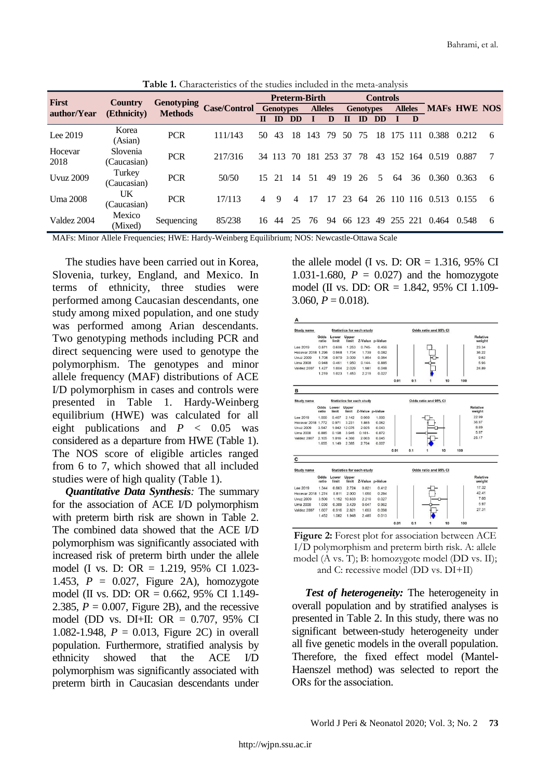| <b>First</b>     | <b>Country</b><br>(Ethnicity) | <b>Genotyping</b><br><b>Methods</b> | <b>Case/Control</b> Genotypes | <b>Preterm-Birth</b> |        |                |     | <b>Controls</b>  |    |     |                |         |                     |       |       |     |
|------------------|-------------------------------|-------------------------------------|-------------------------------|----------------------|--------|----------------|-----|------------------|----|-----|----------------|---------|---------------------|-------|-------|-----|
|                  |                               |                                     |                               |                      |        | <b>Alleles</b> |     | <b>Genotypes</b> |    |     | <b>Alleles</b> |         | <b>MAFS HWE NOS</b> |       |       |     |
| author/Year      |                               |                                     |                               | Ш                    | ID     | DD             |     | D                |    |     | DD             |         | D                   |       |       |     |
| Lee 2019         | Korea<br>(Asian)              | <b>PCR</b>                          | 111/143                       | 50                   | 43     | 18             | 143 | 79               | 50 | 75  | 18             | 175     | -111                | 0.388 | 0.212 | -6  |
| Hocevar<br>2018  | Slovenia<br>(Caucasian)       | <b>PCR</b>                          | 217/316                       |                      | 34 113 | 70             |     | 181 253 37       |    | 78  | 43             | 152     | 164                 | 0.519 | 0.887 | -7  |
| <b>Uvuz</b> 2009 | Turkey<br>(Caucasian)         | <b>PCR</b>                          | 50/50                         | 15                   | 21     | 14             | 51  | 49               | 19 | 26  | 5              | 64      | 36                  | 0.360 | 0.363 | -6  |
| <b>Uma 2008</b>  | <b>UK</b><br>(Caucasian)      | <b>PCR</b>                          | 17/113                        | 4                    | 9      | $\overline{4}$ | 17  | 17               | 23 | 64  | 26             | 110 116 |                     | 0.513 | 0.155 | - 6 |
| Valdez 2004      | Mexico<br>(Mixed)             | Sequencing                          | 85/238                        | 16                   | 44     | 25             | 76  | 94               | 66 | 123 | 49             | 255 221 |                     | 0.464 | 0.548 | -6  |

**Table 1.** Characteristics of the studies included in the meta-analysis

MAFs: Minor Allele Frequencies; HWE: Hardy-Weinberg Equilibrium; NOS: Newcastle-Ottawa Scale

The studies have been carried out in Korea, Slovenia, turkey, England, and Mexico. In terms of ethnicity, three studies were performed among Caucasian descendants, one study among mixed population, and one study was performed among Arian descendants. Two genotyping methods including PCR and direct sequencing were used to genotype the polymorphism. The genotypes and minor allele frequency (MAF) distributions of ACE I/D polymorphism in cases and controls were presented in Table 1. Hardy-Weinberg equilibrium (HWE) was calculated for all eight publications and  $P < 0.05$  was considered as a departure from HWE (Table 1). The NOS score of eligible articles ranged from 6 to 7, which showed that all included studies were of high quality (Table 1).

*Quantitative Data Synthesis:* The summary for the association of ACE I/D polymorphism with preterm birth risk are shown in Table 2. The combined data showed that the ACE I/D polymorphism was significantly associated with increased risk of preterm birth under the allele model (I vs. D: OR = 1.219, 95% CI 1.023- 1.453,  $P = 0.027$ , Figure 2A), homozygote model (II vs. DD: OR = 0.662, 95% CI 1.149- 2.385,  $P = 0.007$ , Figure 2B), and the recessive model (DD vs. DI+II: OR = 0.707, 95% CI 1.082-1.948, *P* = 0.013, Figure 2C) in overall population. Furthermore, stratified analysis by ethnicity showed that the ACE I/D polymorphism was significantly associated with preterm birth in Caucasian descendants under

the allele model (I vs. D:  $OR = 1.316$ , 95% CI 1.031-1.680,  $P = 0.027$  and the homozygote model (II vs. DD: OR = 1.842, 95% CI 1.109- 3.060,  $P = 0.018$ ).



**Figure 2:** Forest plot for association between ACE I/D polymorphism and preterm birth risk. A: allele model (A vs. T); B: homozygote model (DD vs. II); and C: recessive model (DD vs. DI+II)

*Test of heterogeneity:* The heterogeneity in overall population and by stratified analyses is presented in Table [2.](https://bmcmedgenet.biomedcentral.com/articles/10.1186/s12881-018-0553-5#Tab2) In this study, there was no significant between-study heterogeneity under all five genetic models in the overall population. Therefore, the fixed effect model (Mantel-Haenszel method) was selected to report the ORs for the association.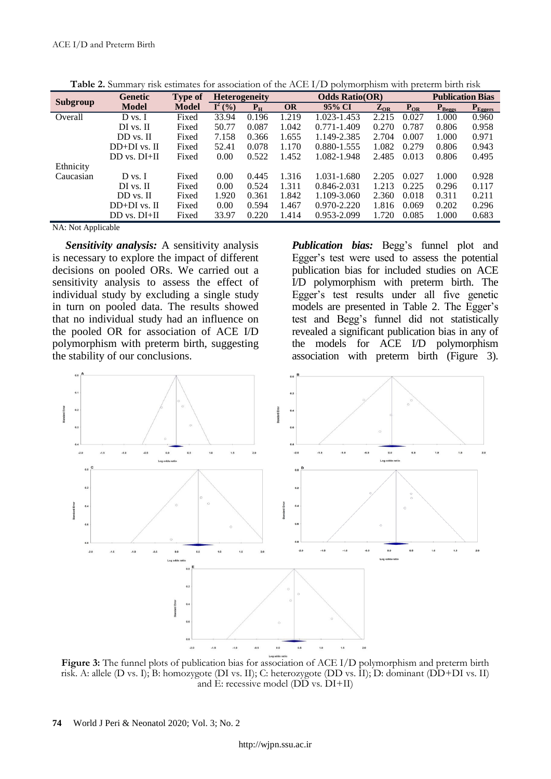| Subgroup  | <b>Genetic</b>   | Type of      | <b>Heterogeneity</b> |         |           | <b>Odds Ratio(OR)</b> | <b>Publication Bias</b> |          |                    |              |
|-----------|------------------|--------------|----------------------|---------|-----------|-----------------------|-------------------------|----------|--------------------|--------------|
|           | <b>Model</b>     | <b>Model</b> | $I^2$ (%)            | $P_{H}$ | <b>OR</b> | 95% CI                | $Z_{OR}$                | $P_{OR}$ | $P_{\text{Beggs}}$ | $P_{Eggers}$ |
| Overall   | D vs. I          | Fixed        | 33.94                | 0.196   | 1.219     | 1.023-1.453           | 2.215                   | 0.027    | 1.000              | 0.960        |
|           | $DI$ vs. $II$    | Fixed        | 50.77                | 0.087   | 1.042     | 0.771-1.409           | 0.270                   | 0.787    | 0.806              | 0.958        |
|           | DD vs. II        | Fixed        | 7.158                | 0.366   | 1.655     | 1.149-2.385           | 2.704                   | 0.007    | 1.000              | 0.971        |
|           | $DD+DI$ vs. $II$ | Fixed        | 52.41                | 0.078   | 1.170     | 0.880-1.555           | 1.082                   | 0.279    | 0.806              | 0.943        |
|           | $DD$ vs. $DI+II$ | Fixed        | 0.00                 | 0.522   | 1.452     | 1.082-1.948           | 2.485                   | 0.013    | 0.806              | 0.495        |
| Ethnicity |                  |              |                      |         |           |                       |                         |          |                    |              |
| Caucasian | D vs. I          | Fixed        | 0.00                 | 0.445   | 1.316     | 1.031-1.680           | 2.205                   | 0.027    | 1.000              | 0.928        |
|           | $DI$ vs. $II$    | Fixed        | 0.00                 | 0.524   | 1.311     | 0.846-2.031           | 1.213                   | 0.225    | 0.296              | 0.117        |
|           | DD vs. II        | Fixed        | 1.920                | 0.361   | 1.842     | 1.109-3.060           | 2.360                   | 0.018    | 0.311              | 0.211        |
|           | $DD+DI$ vs. $II$ | Fixed        | 0.00                 | 0.594   | 1.467     | $0.970 - 2.220$       | 1.816                   | 0.069    | 0.202              | 0.296        |
|           | $DD$ vs. $DI+II$ | Fixed        | 33.97                | 0.220   | 1.414     | 0.953-2.099           | 1.720                   | 0.085    | 1.000              | 0.683        |

**Table 2.** Summary risk estimates for association of the ACE I/D polymorphism with preterm birth risk

NA: Not Applicable

*Sensitivity analysis:* A sensitivity analysis is necessary to explore the impact of different decisions on pooled ORs. We carried out a sensitivity analysis to assess the effect of individual study by excluding a single study in turn on pooled data. The results showed that no individual study had an influence on the pooled OR for association of ACE I/D polymorphism with preterm birth, suggesting the stability of our conclusions.

*Publication bias:* Begg's funnel plot and Egger's test were used to assess the potential publication bias for included studies on ACE I/D polymorphism with preterm birth. The Egger's test results under all five genetic models are presented in [Table 2.](https://www.ncbi.nlm.nih.gov/pmc/articles/PMC5840307/#SD2-ott-11-1121) The Egger's test and Begg's funnel did not statistically revealed a significant publication bias in any of the models for ACE I/D polymorphism association with preterm birth (Figure 3).



Figure 3: The funnel plots of publication bias for association of ACE I/D polymorphism and preterm birth risk. A: allele (D vs. I); B: homozygote (DI vs. II); C: heterozygote (DD vs. II); D: dominant (DD+DI vs. II) and  $\widetilde{E}$ : recessive model ( $\widetilde{DD}$  vs.  $DI+II$ )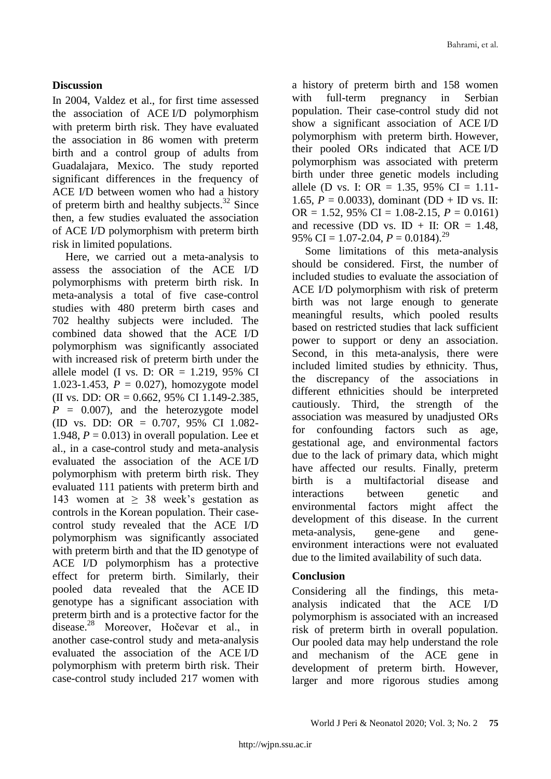### **Discussion**

In 2004, Valdez et al., for first time assessed the association of ACE I/D polymorphism with preterm birth risk. They have evaluated the association in 86 women with preterm birth and a control group of adults from Guadalajara, Mexico. The study reported significant differences in the frequency of ACE I/D between women who had a history of preterm birth and healthy subjects.<sup>32</sup> Since then, a few studies evaluated the association of ACE I/D polymorphism with preterm birth risk in limited populations.

Here, we carried out a meta-analysis to assess the association of the ACE I/D polymorphisms with preterm birth risk. In meta-analysis a total of five case-control studies with 480 preterm birth cases and 702 healthy subjects were included. The combined data showed that the ACE I/D polymorphism was significantly associated with increased risk of preterm birth under the allele model (I vs. D:  $OR = 1.219$ , 95% CI 1.023-1.453,  $P = 0.027$ ), homozygote model (II vs. DD: OR =  $0.662$ , 95% CI 1.149-2.385,  $P = 0.007$ , and the heterozygote model (ID vs. DD: OR = 0.707, 95% CI 1.082- 1.948,  $P = 0.013$  in overall population. Lee et al., in a case-control study and meta-analysis evaluated the association of the ACE I/D polymorphism with preterm birth risk. They evaluated 111 patients with preterm birth and 143 women at  $\geq$  38 week's gestation as controls in the Korean population. Their casecontrol study revealed that the ACE I/D polymorphism was significantly associated with preterm birth and that the ID genotype of ACE I/D polymorphism has a protective effect for preterm birth. Similarly, their pooled data revealed that the ACE ID genotype has a significant association with preterm birth and is a protective factor for the disease.<sup>28</sup> Moreover, Hočevar et al., in another case-control study and meta-analysis evaluated the association of the ACE I/D polymorphism with preterm birth risk. Their case-control study included 217 women with a history of preterm birth and 158 women<br>with full-term pregnancy in Serbian with full-term pregnancy in Serbian population. Their case-control study did not show a significant association of ACE I/D polymorphism with preterm birth. However, their pooled ORs indicated that ACE I/D polymorphism was associated with preterm birth under three genetic models including allele (D vs. I: OR = 1.35, 95% CI = 1.11-1.65,  $P = 0.0033$ ), dominant (DD + ID vs. II: OR = 1.52, 95% CI = 1.08-2.15,  $P = 0.0161$ ) and recessive (DD vs. ID + II: OR =  $1.48$ , 95% CI = 1.07-2.04,  $P = 0.0184$ .<sup>29</sup>

Some limitations of this meta-analysis should be considered. First, the number of included studies to evaluate the association of ACE I/D polymorphism with risk of preterm birth was not large enough to generate meaningful results, which pooled results based on restricted studies that lack sufficient power to support or deny an association. Second, in this meta-analysis, there were included limited studies by ethnicity. Thus, the discrepancy of the associations in different ethnicities should be interpreted cautiously. Third, the strength of the association was measured by unadjusted ORs for confounding factors such as age, gestational age, and environmental factors due to the lack of primary data, which might have affected our results. Finally, preterm birth is a multifactorial disease and interactions between genetic and environmental factors might affect the development of this disease. In the current meta-analysis, gene-gene and geneenvironment interactions were not evaluated due to the limited availability of such data.

### **Conclusion**

Considering all the findings, this metaanalysis indicated that the ACE I/D polymorphism is associated with an increased risk of preterm birth in overall population. Our pooled data may help understand the role and mechanism of the ACE gene in development of preterm birth. However, larger and more rigorous studies among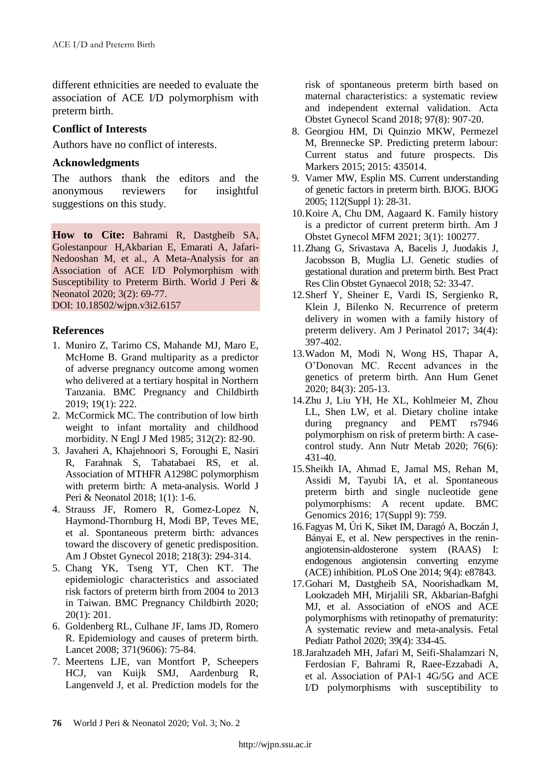different ethnicities are needed to evaluate the association of ACE I/D polymorphism with preterm birth.

### **Conflict of Interests**

Authors have no conflict of interests.

### **Acknowledgments**

The authors thank the editors and the anonymous reviewers for insightful suggestions on this study.

**How to Cite:** Bahrami R, Dastgheib SA, Golestanpour H,Akbarian E, Emarati A, Jafari-Nedooshan M, et al., A Meta-Analysis for an Association of ACE I/D Polymorphism with Susceptibility to Preterm Birth. World J Peri & Neonatol 2020; 3(2): 69-77. DOI: 10.18502/wjpn.v3i2.6157

### **References**

- 1. Muniro Z, Tarimo CS, Mahande MJ, Maro E, McHome B. Grand multiparity as a predictor of adverse pregnancy outcome among women who delivered at a tertiary hospital in Northern Tanzania. BMC Pregnancy and Childbirth 2019; 19(1): 222.
- 2. McCormick MC. The contribution of low birth weight to infant mortality and childhood morbidity. N Engl J Med 1985; 312(2): 82-90.
- 3. Javaheri A, Khajehnoori S, Foroughi E, Nasiri R, Farahnak S, Tabatabaei RS, et al. Association of MTHFR A1298C polymorphism with preterm birth: A meta-analysis. World J Peri & Neonatol 2018; 1(1): 1-6.
- 4. Strauss JF, Romero R, Gomez-Lopez N, Haymond-Thornburg H, Modi BP, Teves ME, et al. Spontaneous preterm birth: advances toward the discovery of genetic predisposition. Am J Obstet Gynecol 2018; 218(3): 294-314.
- 5. Chang YK, Tseng YT, Chen KT. The epidemiologic characteristics and associated risk factors of preterm birth from 2004 to 2013 in Taiwan. BMC Pregnancy Childbirth 2020; 20(1): 201.
- 6. Goldenberg RL, Culhane JF, Iams JD, Romero R. Epidemiology and causes of preterm birth. Lancet 2008; 371(9606): 75-84.
- 7. Meertens LJE, van Montfort P, Scheepers HCJ, van Kuijk SMJ, Aardenburg R, Langenveld J, et al. Prediction models for the

risk of spontaneous preterm birth based on maternal characteristics: a systematic review and independent external validation. Acta Obstet Gynecol Scand 2018; 97(8): 907-20.

- 8. Georgiou HM, Di Quinzio MKW, Permezel M, Brennecke SP. Predicting preterm labour: Current status and future prospects. Dis Markers 2015; 2015: 435014.
- 9. Varner MW, Esplin MS. Current understanding of genetic factors in preterm birth. BJOG. BJOG 2005; 112(Suppl 1): 28-31.
- 10.Koire A, Chu DM, Aagaard K. Family history is a predictor of current preterm birth. Am J Obstet Gynecol MFM 2021; 3(1): 100277.
- 11.Zhang G, Srivastava A, Bacelis J, Juodakis J, Jacobsson B, Muglia LJ. Genetic studies of gestational duration and preterm birth. Best Pract Res Clin Obstet Gynaecol 2018; 52: 33-47.
- 12.Sherf Y, Sheiner E, Vardi IS, Sergienko R, Klein J, Bilenko N. Recurrence of preterm delivery in women with a family history of preterm delivery. Am J Perinatol 2017; 34(4): 397-402.
- 13.Wadon M, Modi N, Wong HS, Thapar A, O'Donovan MC. Recent advances in the genetics of preterm birth. Ann Hum Genet 2020; 84(3): 205-13.
- 14.Zhu J, Liu YH, He XL, Kohlmeier M, Zhou LL, Shen LW, et al. Dietary choline intake during pregnancy and PEMT rs7946 polymorphism on risk of preterm birth: A casecontrol study. Ann Nutr Metab 2020; 76(6): 431-40.
- 15.Sheikh IA, Ahmad E, Jamal MS, Rehan M, Assidi M, Tayubi IA, et al. Spontaneous preterm birth and single nucleotide gene polymorphisms: A recent update. BMC Genomics 2016; 17(Suppl 9): 759.
- 16.Fagyas M, Úri K, Siket IM, Daragó A, Boczán J, Bányai E, et al. New perspectives in the reninangiotensin-aldosterone system (RAAS) I: endogenous angiotensin converting enzyme (ACE) inhibition. PLoS One 2014; 9(4): e87843.
- 17.Gohari M, Dastgheib SA, Noorishadkam M, Lookzadeh MH, Mirjalili SR, Akbarian-Bafghi MJ, et al. Association of eNOS and ACE polymorphisms with retinopathy of prematurity: A systematic review and meta-analysis. Fetal Pediatr Pathol 2020; 39(4): 334-45.
- 18.Jarahzadeh MH, Jafari M, Seifi-Shalamzari N, Ferdosian F, Bahrami R, Raee-Ezzabadi A, et al. Association of PAI-1 4G/5G and ACE I/D polymorphisms with susceptibility to